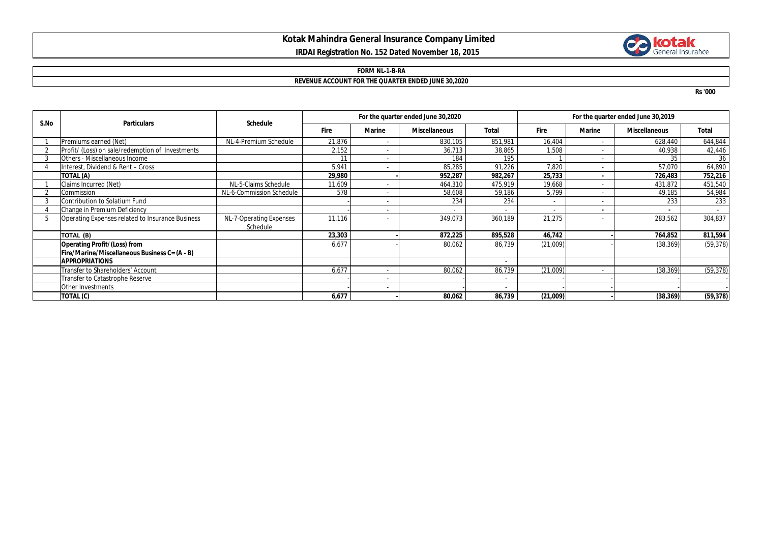# **Kotak Mahindra General Insurance Company Limited IRDAI Registration No. 152 Dated November 18, 2015**



#### **FORM NL-1-B-RA**

## **REVENUE ACCOUNT FOR THE QUARTER ENDED JUNE 30,2020**

**Rs '000**

| S.No | <b>Particulars</b>                               | <b>Schedule</b>                     | For the quarter ended June 30,2020 |        |                      |         | For the quarter ended June 30,2019 |               |                      |           |
|------|--------------------------------------------------|-------------------------------------|------------------------------------|--------|----------------------|---------|------------------------------------|---------------|----------------------|-----------|
|      |                                                  |                                     | <b>Fire</b>                        | Marine | <b>Miscellaneous</b> | Total   | <b>Fire</b>                        | <b>Marine</b> | <b>Miscellaneous</b> | Total     |
|      | Premiums earned (Net)                            | NL-4-Premium Schedule               | 21,876                             |        | 830,105              | 851,981 | 16,404                             |               | 628,440              | 644,844   |
|      | Profit/ (Loss) on sale/redemption of Investments |                                     | 2,152                              | ٠      | 36,713               | 38,865  | 1,508                              |               | 40,938               | 42,446    |
|      | Others - Miscellaneous Income                    |                                     | 11                                 |        | 184                  | 195     |                                    |               | 35                   | 36        |
|      | Interest, Dividend & Rent - Gross                |                                     | 5,941                              |        | 85,285               | 91,226  | 7,820                              | $\sim$        | 57,070               | 64,890    |
|      | TOTAL (A)                                        |                                     | 29,980                             |        | 952.287              | 982,267 | 25,733                             |               | 726,483              | 752,216   |
|      | Claims Incurred (Net)                            | NL-5-Claims Schedule                | 11,609                             |        | 464,310              | 475,919 | 19,668                             |               | 431,872              | 451,540   |
|      | Commission                                       | NL-6-Commission Schedule            | 578                                |        | 58,608               | 59,186  | 5,799                              |               | 49,185               | 54,984    |
|      | Contribution to Solatium Fund                    |                                     |                                    |        | 234                  | 234     | ٠                                  |               | 233                  | 233       |
|      | Change in Premium Deficiency                     |                                     |                                    |        |                      |         |                                    |               |                      |           |
| 5    | Operating Expenses related to Insurance Business | NL-7-Operating Expenses<br>Schedule | 11,116                             |        | 349,073              | 360,189 | 21,275                             |               | 283,562              | 304,837   |
|      | TOTAL (B)                                        |                                     | 23,303                             |        | 872,225              | 895,528 | 46,742                             |               | 764,852              | 811,594   |
|      | <b>Operating Profit/(Loss) from</b>              |                                     | 6,677                              |        | 80,062               | 86,739  | (21,009)                           |               | (38, 369)            | (59, 378) |
|      | Fire/Marine/Miscellaneous Business C= (A - B)    |                                     |                                    |        |                      |         |                                    |               |                      |           |
|      | <b>APPROPRIATIONS</b>                            |                                     |                                    |        |                      |         |                                    |               |                      |           |
|      | Transfer to Shareholders' Account                |                                     | 6,677                              |        | 80,062               | 86,739  | (21,009)                           |               | (38, 369)            | (59, 378) |
|      | Transfer to Catastrophe Reserve                  |                                     |                                    |        |                      |         |                                    |               |                      |           |
|      | Other Investments                                |                                     |                                    |        |                      |         |                                    |               |                      |           |
|      | TOTAL (C)                                        |                                     | 6,677                              |        | 80,062               | 86,739  | (21,009)                           |               | (38, 369)            | (59, 378) |